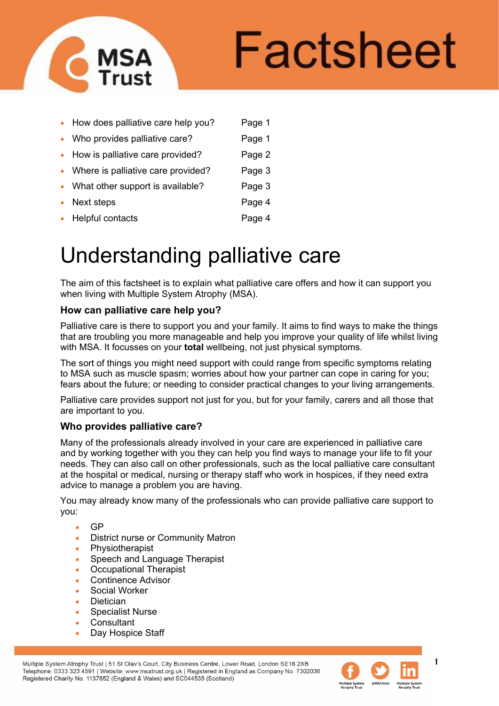

# Factsheet

|           | • How does palliative care help you? | Page 1 |
|-----------|--------------------------------------|--------|
|           | • Who provides palliative care?      | Page 1 |
|           | • How is palliative care provided?   | Page 2 |
|           | • Where is palliative care provided? | Page 3 |
|           | • What other support is available?   | Page 3 |
| $\bullet$ | Next steps                           | Page 4 |
| $\bullet$ | Helpful contacts                     | Page 4 |
|           |                                      |        |

# Understanding palliative care

The aim of this factsheet is to explain what palliative care offers and how it can support you when living with Multiple System Atrophy (MSA).

#### **How can palliative care help you?**

Palliative care is there to support you and your family. It aims to find ways to make the things that are troubling you more manageable and help you improve your quality of life whilst living with MSA. It focusses on your **total** wellbeing, not just physical symptoms.

The sort of things you might need support with could range from specific symptoms relating to MSA such as muscle spasm; worries about how your partner can cope in caring for you; fears about the future; or needing to consider practical changes to your living arrangements.

Palliative care provides support not just for you, but for your family, carers and all those that are important to you.

# **Who provides palliative care?**

Many of the professionals already involved in your care are experienced in palliative care and by working together with you they can help you find ways to manage your life to fit your needs. They can also call on other professionals, such as the local palliative care consultant at the hospital or medical, nursing or therapy staff who work in hospices, if they need extra advice to manage a problem you are having.

You may already know many of the professionals who can provide palliative care support to you:

- GP
- District nurse or Community Matron
- **Physiotherapist**
- Speech and Language Therapist
- Occupational Therapist
- Continence Advisor
- Social Worker
- **Dietician**
- Specialist Nurse
- **Consultant**
- Day Hospice Staff

Multiple System Atrophy Trust | 51 St Olav's Court, City Business Centre, Lower Road, London SE16 2XB Telephone: 0333 323 4591 | Website: www.msatrust.org.uk | Registered in England as Company No. 7302036 Registered Charity No. 1137652 (England & Wales) and SC044535 (Scotland)

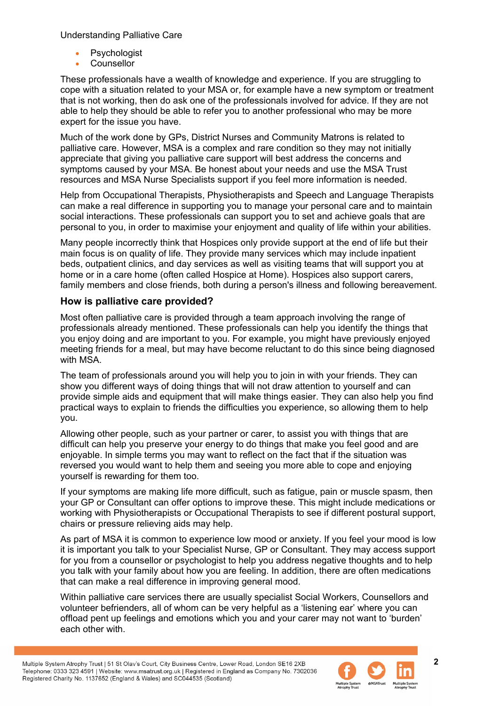Understanding Palliative Care

- **Psychologist**
- Counsellor

These professionals have a wealth of knowledge and experience. If you are struggling to cope with a situation related to your MSA or, for example have a new symptom or treatment that is not working, then do ask one of the professionals involved for advice. If they are not able to help they should be able to refer you to another professional who may be more expert for the issue you have.

Much of the work done by GPs, District Nurses and Community Matrons is related to palliative care. However, MSA is a complex and rare condition so they may not initially appreciate that giving you palliative care support will best address the concerns and symptoms caused by your MSA. Be honest about your needs and use the MSA Trust resources and MSA Nurse Specialists support if you feel more information is needed.

Help from Occupational Therapists, Physiotherapists and Speech and Language Therapists can make a real difference in supporting you to manage your personal care and to maintain social interactions. These professionals can support you to set and achieve goals that are personal to you, in order to maximise your enjoyment and quality of life within your abilities.

Many people incorrectly think that Hospices only provide support at the end of life but their main focus is on quality of life. They provide many services which may include inpatient beds, outpatient clinics, and day services as well as visiting teams that will support you at home or in a care home (often called Hospice at Home). Hospices also support carers, family members and close friends, both during a person's illness and following bereavement.

# **How is palliative care provided?**

Most often palliative care is provided through a team approach involving the range of professionals already mentioned. These professionals can help you identify the things that you enjoy doing and are important to you. For example, you might have previously enjoyed meeting friends for a meal, but may have become reluctant to do this since being diagnosed with MSA.

The team of professionals around you will help you to join in with your friends. They can show you different ways of doing things that will not draw attention to yourself and can provide simple aids and equipment that will make things easier. They can also help you find practical ways to explain to friends the difficulties you experience, so allowing them to help you.

Allowing other people, such as your partner or carer, to assist you with things that are difficult can help you preserve your energy to do things that make you feel good and are enjoyable. In simple terms you may want to reflect on the fact that if the situation was reversed you would want to help them and seeing you more able to cope and enjoying yourself is rewarding for them too.

If your symptoms are making life more difficult, such as fatigue, pain or muscle spasm, then your GP or Consultant can offer options to improve these. This might include medications or working with Physiotherapists or Occupational Therapists to see if different postural support, chairs or pressure relieving aids may help.

As part of MSA it is common to experience low mood or anxiety. If you feel your mood is low it is important you talk to your Specialist Nurse, GP or Consultant. They may access support for you from a counsellor or psychologist to help you address negative thoughts and to help you talk with your family about how you are feeling. In addition, there are often medications that can make a real difference in improving general mood.

Within palliative care services there are usually specialist Social Workers, Counsellors and volunteer befrienders, all of whom can be very helpful as a 'listening ear' where you can offload pent up feelings and emotions which you and your carer may not want to 'burden' each other with.

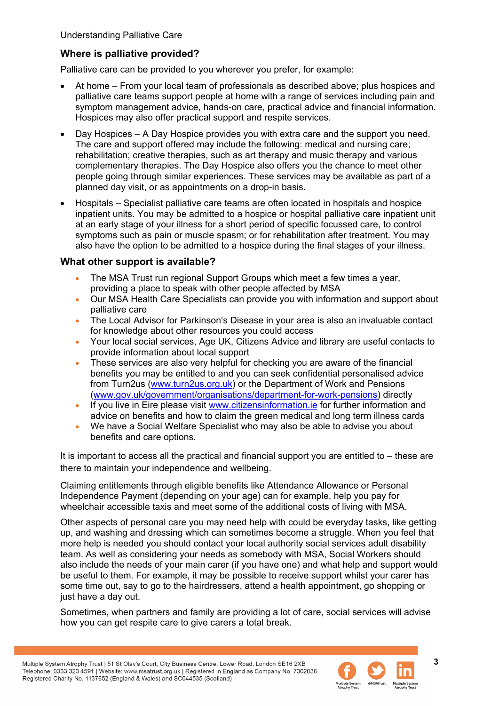# **Where is palliative provided?**

Palliative care can be provided to you wherever you prefer, for example:

- At home From your local team of professionals as described above; plus hospices and palliative care teams support people at home with a range of services including pain and symptom management advice, hands-on care, practical advice and financial information. Hospices may also offer practical support and respite services.
- Day Hospices A Day Hospice provides you with extra care and the support you need. The care and support offered may include the following: medical and nursing care; rehabilitation; creative therapies, such as art therapy and music therapy and various complementary therapies. The Day Hospice also offers you the chance to meet other people going through similar experiences. These services may be available as part of a planned day visit, or as appointments on a drop-in basis.
- Hospitals Specialist palliative care teams are often located in hospitals and hospice inpatient units. You may be admitted to a hospice or hospital palliative care inpatient unit at an early stage of your illness for a short period of specific focussed care, to control symptoms such as pain or muscle spasm; or for rehabilitation after treatment. You may also have the option to be admitted to a hospice during the final stages of your illness.

# **What other support is available?**

- The MSA Trust run regional Support Groups which meet a few times a year, providing a place to speak with other people affected by MSA
- Our MSA Health Care Specialists can provide you with information and support about palliative care
- The Local Advisor for Parkinson's Disease in your area is also an invaluable contact for knowledge about other resources you could access
- Your local social services, Age UK, Citizens Advice and library are useful contacts to provide information about local support
- These services are also very helpful for checking you are aware of the financial benefits you may be entitled to and you can seek confidential personalised advice from Turn2us [\(www.turn2us.org.uk\)](http://www.turn2us.org.uk/) or the Department of Work and Pensions [\(www.gov.uk/government/organisations/department-for-work-pensions\)](http://www.gov.uk/government/organisations/department-for-work-pensions) directly
- If you live in Eire please visit [www.citizensinformation.ie](http://www.citizensinformation.ie/) for further information and advice on benefits and how to claim the green medical and long term illness cards
- We have a Social Welfare Specialist who may also be able to advise you about benefits and care options.

It is important to access all the practical and financial support you are entitled to – these are there to maintain your independence and wellbeing.

Claiming entitlements through eligible benefits like Attendance Allowance or Personal Independence Payment (depending on your age) can for example, help you pay for wheelchair accessible taxis and meet some of the additional costs of living with MSA.

Other aspects of personal care you may need help with could be everyday tasks, like getting up, and washing and dressing which can sometimes become a struggle. When you feel that more help is needed you should contact your local authority social services adult disability team. As well as considering your needs as somebody with MSA, Social Workers should also include the needs of your main carer (if you have one) and what help and support would be useful to them. For example, it may be possible to receive support whilst your carer has some time out, say to go to the hairdressers, attend a health appointment, go shopping or just have a day out.

Sometimes, when partners and family are providing a lot of care, social services will advise how you can get respite care to give carers a total break.

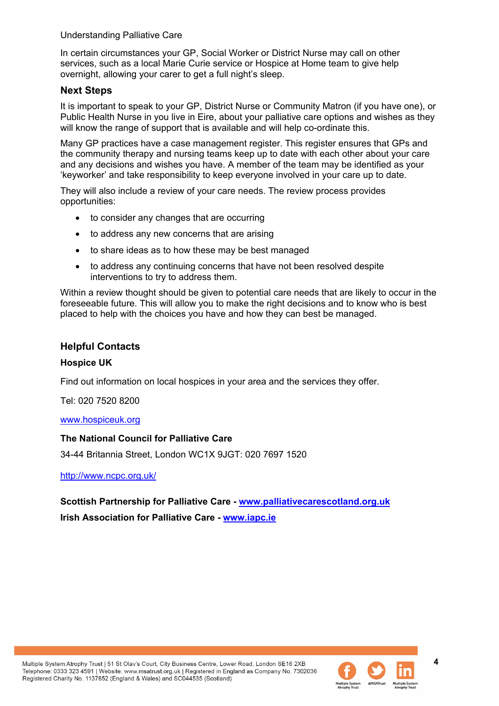#### Understanding Palliative Care

In certain circumstances your GP, Social Worker or District Nurse may call on other services, such as a local Marie Curie service or Hospice at Home team to give help overnight, allowing your carer to get a full night's sleep.

#### **Next Steps**

It is important to speak to your GP, District Nurse or Community Matron (if you have one), or Public Health Nurse in you live in Eire, about your palliative care options and wishes as they will know the range of support that is available and will help co-ordinate this.

Many GP practices have a case management register. This register ensures that GPs and the community therapy and nursing teams keep up to date with each other about your care and any decisions and wishes you have. A member of the team may be identified as your 'keyworker' and take responsibility to keep everyone involved in your care up to date.

They will also include a review of your care needs. The review process provides opportunities:

- to consider any changes that are occurring
- to address any new concerns that are arising
- to share ideas as to how these may be best managed
- to address any continuing concerns that have not been resolved despite interventions to try to address them.

Within a review thought should be given to potential care needs that are likely to occur in the foreseeable future. This will allow you to make the right decisions and to know who is best placed to help with the choices you have and how they can best be managed.

#### **Helpful Contacts**

#### **Hospice UK**

Find out information on local hospices in your area and the services they offer.

Tel: 020 7520 8200

[www.hospiceuk.org](http://www.hospiceuk.org/)

#### **The National Council for Palliative Care**

34-44 Britannia Street, London WC1X 9JGT: 020 7697 1520

<http://www.ncpc.org.uk/>

**Scottish Partnership for Palliative Care - [www.palliativecarescotland.org.uk](http://www.palliativecarescotland.org.uk/)  Irish Association for Palliative Care - [www.iapc.ie](http://www.iapc.ie/)**